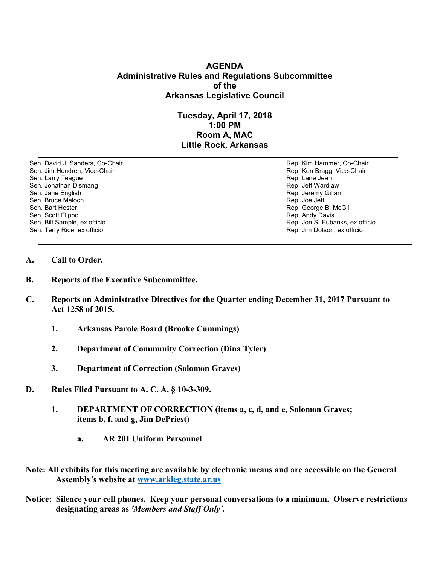### **AGENDA Administrative Rules and Regulations Subcommittee of the Arkansas Legislative Council**

# **Tuesday, April 17, 2018 1:00 PM Room A, MAC Little Rock, Arkansas**

Sen. David J. Sanders, Co-Chair **Rep. Access 1999** Rep. Kim Hammer, Co-Chair Sen. Jim Hendren, Vice-Chair **Rep. Access 1999** Rep. Ken Bragg, Vice-Chair Sen. Larry Teague Rep. Lane Jean Controller Sen. Larry Teague Rep. Lane Jean Controller Sen. Jonathan Dismang<br>Sen. Jonathan Dismang Sen. Jonathan Dismang<br>Sen. Jane English Sen. Bruce Maloch<br>Sen. Bart Hester Sen. Scott Flippo **Rep. Andy Davis** Rep. Andy Davis Sen. Bill Sample, ex officio **Rep. Jon S. Eubanks, ex officio** Rep. Jon S. Eubanks, ex officio Sen. Terry Rice, ex officio **Rep. 3. In Dotson, ex officio** Rep. Jim Dotson, ex officio

Rep. Jeremy Gillam<br>Rep. Joe Jett Rep. George B. McGill

- **A. Call to Order.**
- **B. Reports of the Executive Subcommittee.**
- **C. Reports on Administrative Directives for the Quarter ending December 31, 2017 Pursuant to Act 1258 of 2015.**
	- **1. Arkansas Parole Board (Brooke Cummings)**
	- **2. Department of Community Correction (Dina Tyler)**
	- **3. Department of Correction (Solomon Graves)**
- **D. Rules Filed Pursuant to A. C. A. § 10-3-309.**
	- **1. DEPARTMENT OF CORRECTION (items a, c, d, and e, Solomon Graves; items b, f, and g, Jim DePriest)**
		- **a. AR 201 Uniform Personnel**
- **Note: All exhibits for this meeting are available by electronic means and are accessible on the General Assembly's website at [www.arkleg.state.ar.us](http://www.arkleg.state.ar.us)**
- **Notice: Silence your cell phones. Keep your personal conversations to a minimum. Observe restrictions designating areas as** *'Members and Staff Only'.*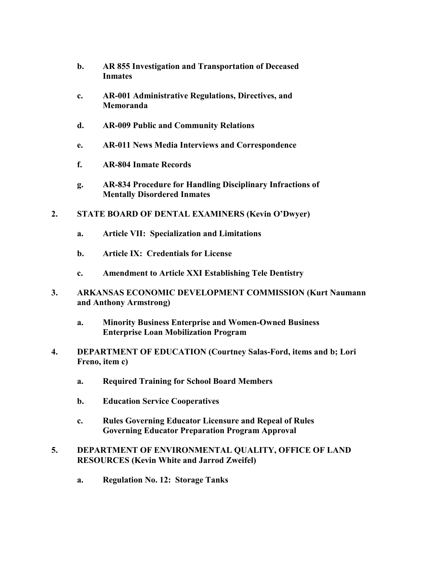- **b. AR 855 Investigation and Transportation of Deceased Inmates**
- **c. AR-001 Administrative Regulations, Directives, and Memoranda**
- **d. AR-009 Public and Community Relations**
- **e. AR-011 News Media Interviews and Correspondence**
- **f. AR-804 Inmate Records**
- **g. AR-834 Procedure for Handling Disciplinary Infractions of Mentally Disordered Inmates**
- **2. STATE BOARD OF DENTAL EXAMINERS (Kevin O'Dwyer)**
	- **a. Article VII: Specialization and Limitations**
	- **b. Article IX: Credentials for License**
	- **c. Amendment to Article XXI Establishing Tele Dentistry**
- **3. ARKANSAS ECONOMIC DEVELOPMENT COMMISSION (Kurt Naumann and Anthony Armstrong)**
	- **a. Minority Business Enterprise and Women-Owned Business Enterprise Loan Mobilization Program**
- **4. DEPARTMENT OF EDUCATION (Courtney Salas-Ford, items and b; Lori Freno, item c)**
	- **a. Required Training for School Board Members**
	- **b. Education Service Cooperatives**
	- **c. Rules Governing Educator Licensure and Repeal of Rules Governing Educator Preparation Program Approval**

## **5. DEPARTMENT OF ENVIRONMENTAL QUALITY, OFFICE OF LAND RESOURCES (Kevin White and Jarrod Zweifel)**

**a. Regulation No. 12: Storage Tanks**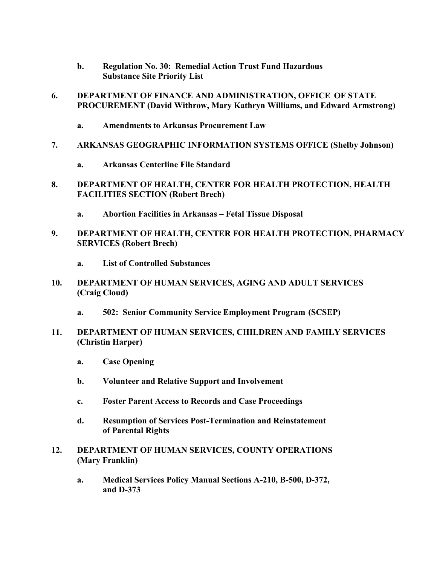- **b. Regulation No. 30: Remedial Action Trust Fund Hazardous Substance Site Priority List**
- **6. DEPARTMENT OF FINANCE AND ADMINISTRATION, OFFICE OF STATE PROCUREMENT (David Withrow, Mary Kathryn Williams, and Edward Armstrong)**
	- **a. Amendments to Arkansas Procurement Law**
- **7. ARKANSAS GEOGRAPHIC INFORMATION SYSTEMS OFFICE (Shelby Johnson)**
	- **a. Arkansas Centerline File Standard**
- **8. DEPARTMENT OF HEALTH, CENTER FOR HEALTH PROTECTION, HEALTH FACILITIES SECTION (Robert Brech)**
	- **a. Abortion Facilities in Arkansas – Fetal Tissue Disposal**
- **9. DEPARTMENT OF HEALTH, CENTER FOR HEALTH PROTECTION, PHARMACY SERVICES (Robert Brech)**
	- **a. List of Controlled Substances**
- **10. DEPARTMENT OF HUMAN SERVICES, AGING AND ADULT SERVICES (Craig Cloud)**
	- **a. 502: Senior Community Service Employment Program (SCSEP)**
- **11. DEPARTMENT OF HUMAN SERVICES, CHILDREN AND FAMILY SERVICES (Christin Harper)**
	- **a. Case Opening**
	- **b. Volunteer and Relative Support and Involvement**
	- **c. Foster Parent Access to Records and Case Proceedings**
	- **d. Resumption of Services Post-Termination and Reinstatement of Parental Rights**
- **12. DEPARTMENT OF HUMAN SERVICES, COUNTY OPERATIONS (Mary Franklin)**
	- **a. Medical Services Policy Manual Sections A-210, B-500, D-372, and D-373**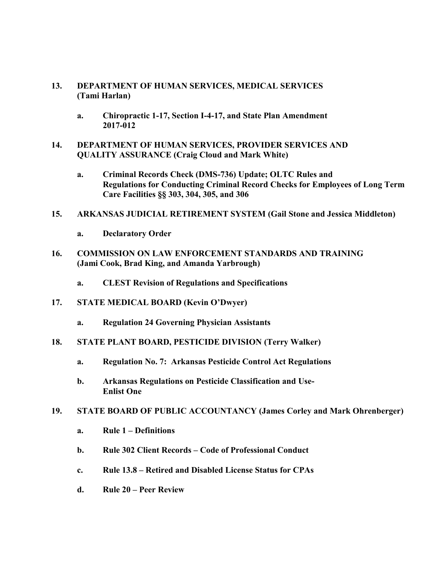### **13. DEPARTMENT OF HUMAN SERVICES, MEDICAL SERVICES (Tami Harlan)**

- **a. Chiropractic 1-17, Section I-4-17, and State Plan Amendment 2017-012**
- **14. DEPARTMENT OF HUMAN SERVICES, PROVIDER SERVICES AND QUALITY ASSURANCE (Craig Cloud and Mark White)**
	- **a. Criminal Records Check (DMS-736) Update; OLTC Rules and Regulations for Conducting Criminal Record Checks for Employees of Long Term Care Facilities §§ 303, 304, 305, and 306**
- **15. ARKANSAS JUDICIAL RETIREMENT SYSTEM (Gail Stone and Jessica Middleton)**
	- **a. Declaratory Order**
- **16. COMMISSION ON LAW ENFORCEMENT STANDARDS AND TRAINING (Jami Cook, Brad King, and Amanda Yarbrough)**
	- **a. CLEST Revision of Regulations and Specifications**
- **17. STATE MEDICAL BOARD (Kevin O'Dwyer)**
	- **a. Regulation 24 Governing Physician Assistants**
- **18. STATE PLANT BOARD, PESTICIDE DIVISION (Terry Walker)**
	- **a. Regulation No. 7: Arkansas Pesticide Control Act Regulations**
	- **b. Arkansas Regulations on Pesticide Classification and Use-Enlist One**
- **19. STATE BOARD OF PUBLIC ACCOUNTANCY (James Corley and Mark Ohrenberger)**
	- **a. Rule 1 – Definitions**
	- **b. Rule 302 Client Records – Code of Professional Conduct**
	- **c. Rule 13.8 – Retired and Disabled License Status for CPAs**
	- **d. Rule 20 – Peer Review**